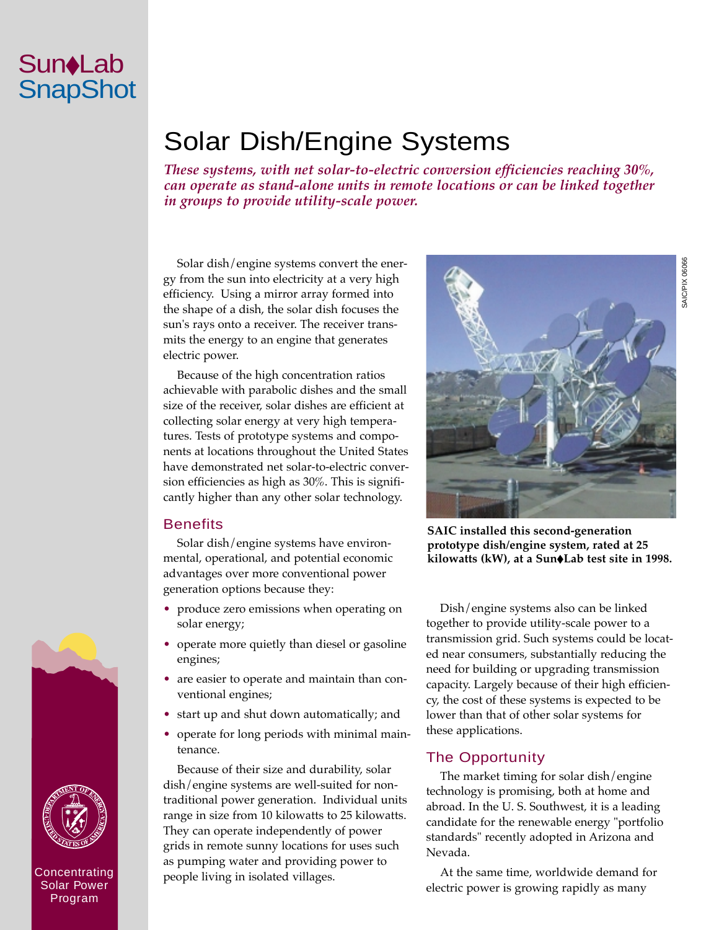# Solar Dish/Engine Systems

*These systems, with net solar-to-electric conversion efficiencies reaching 30%, can operate as stand-alone units in remote locations or can be linked together in groups to provide utility-scale power.*

Solar dish/engine systems convert the energy from the sun into electricity at a very high efficiency. Using a mirror array formed into the shape of a dish, the solar dish focuses the sun's rays onto a receiver. The receiver transmits the energy to an engine that generates electric power.

Because of the high concentration ratios achievable with parabolic dishes and the small size of the receiver, solar dishes are efficient at collecting solar energy at very high temperatures. Tests of prototype systems and components at locations throughout the United States have demonstrated net solar-to-electric conversion efficiencies as high as 30%. This is significantly higher than any other solar technology.

#### **Benefits**

Solar dish/engine systems have environmental, operational, and potential economic advantages over more conventional power generation options because they:

- produce zero emissions when operating on solar energy;
- operate more quietly than diesel or gasoline engines;
- are easier to operate and maintain than conventional engines;
- start up and shut down automatically; and
- operate for long periods with minimal maintenance.

Because of their size and durability, solar dish/engine systems are well-suited for nontraditional power generation. Individual units range in size from 10 kilowatts to 25 kilowatts. They can operate independently of power grids in remote sunny locations for uses such as pumping water and providing power to people living in isolated villages.



**SAIC installed this second-generation prototype dish/engine system, rated at 25 kilowatts (kW), at a Sun**◆**Lab test site in 1998.**

Dish/engine systems also can be linked together to provide utility-scale power to a transmission grid. Such systems could be located near consumers, substantially reducing the need for building or upgrading transmission capacity. Largely because of their high efficiency, the cost of these systems is expected to be lower than that of other solar systems for these applications.

### The Opportunity

The market timing for solar dish/engine technology is promising, both at home and abroad. In the U. S. Southwest, it is a leading candidate for the renewable energy "portfolio standards" recently adopted in Arizona and Nevada.

At the same time, worldwide demand for electric power is growing rapidly as many



Program